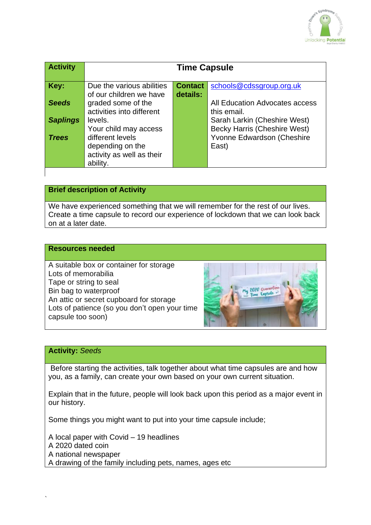

| <b>Activity</b> | <b>Time Capsule</b>                                                        |                |                                                                     |
|-----------------|----------------------------------------------------------------------------|----------------|---------------------------------------------------------------------|
| Key:            | Due the various abilities                                                  | <b>Contact</b> | schools@cdssgroup.org.uk                                            |
| <b>Seeds</b>    | of our children we have<br>graded some of the<br>activities into different | details:       | All Education Advocates access<br>this email.                       |
| <b>Saplings</b> | levels.<br>Your child may access                                           |                | Sarah Larkin (Cheshire West)<br><b>Becky Harris (Cheshire West)</b> |
| <b>Trees</b>    | different levels<br>depending on the                                       |                | Yvonne Edwardson (Cheshire<br>East)                                 |
|                 | activity as well as their<br>ability.                                      |                |                                                                     |

# **Brief description of Activity**

We have experienced something that we will remember for the rest of our lives. Create a time capsule to record our experience of lockdown that we can look back on at a later date.

#### **Resources needed**

A suitable box or container for storage Lots of memorabilia Tape or string to seal Bin bag to waterproof An attic or secret cupboard for storage Lots of patience (so you don't open your time capsule too soon)



### **Activity:** *Seeds*

`

Before starting the activities, talk together about what time capsules are and how you, as a family, can create your own based on your own current situation.

Explain that in the future, people will look back upon this period as a major event in our history.

Some things you might want to put into your time capsule include;

A local paper with Covid – 19 headlines A 2020 dated coin A national newspaper A drawing of the family including pets, names, ages etc